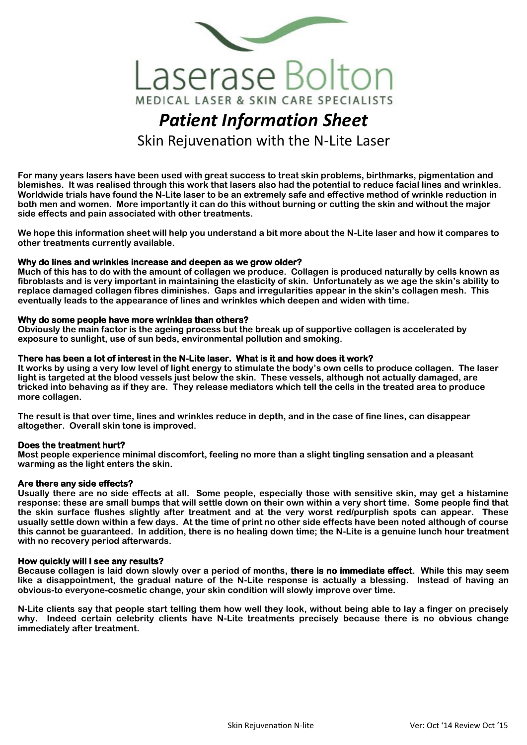

# *Patient Information Sheet* Skin Rejuvenation with the N-Lite Laser

**For many years lasers have been used with great success to treat skin problems, birthmarks, pigmentation and blemishes. It was realised through this work that lasers also had the potential to reduce facial lines and wrinkles. Worldwide trials have found the N-Lite laser to be an extremely safe and effective method of wrinkle reduction in both men and women. More importantly it can do this without burning or cutting the skin and without the major side effects and pain associated with other treatments.**

**We hope this information sheet will help you understand a bit more about the N-Lite laser and how it compares to other treatments currently available.**

### **Why do lines and wrinkles increase and deepen as we grow older?**

**Much of this has to do with the amount of collagen we produce. Collagen is produced naturally by cells known as fibroblasts and is very important in maintaining the elasticity of skin. Unfortunately as we age the skin's ability to replace damaged collagen fibres diminishes. Gaps and irregularities appear in the skin's collagen mesh. This eventually leads to the appearance of lines and wrinkles which deepen and widen with time.** 

#### **Why do some people have more wrinkles than others?**

**Obviously the main factor is the ageing process but the break up of supportive collagen is accelerated by exposure to sunlight, use of sun beds, environmental pollution and smoking.**

### **There has been a lot of interest in the N-Lite laser. What is it and how does it work?**

**It works by using a very low level of light energy to stimulate the body's own cells to produce collagen. The laser light is targeted at the blood vessels just below the skin. These vessels, although not actually damaged, are tricked into behaving as if they are. They release mediators which tell the cells in the treated area to produce more collagen.** 

**The result is that over time, lines and wrinkles reduce in depth, and in the case of fine lines, can disappear altogether. Overall skin tone is improved.**

### **Does the treatment hurt?**

**Most people experience minimal discomfort, feeling no more than a slight tingling sensation and a pleasant warming as the light enters the skin.**

#### **Are there any side effects?**

**Usually there are no side effects at all. Some people, especially those with sensitive skin, may get a histamine response: these are small bumps that will settle down on their own within a very short time. Some people find that the skin surface flushes slightly after treatment and at the very worst red/purplish spots can appear. These usually settle down within a few days. At the time of print no other side effects have been noted although of course this cannot be guaranteed. In addition, there is no healing down time; the N-Lite is a genuine lunch hour treatment with no recovery period afterwards.**

#### **How quickly will I see any results?**

**Because collagen is laid down slowly over a period of months, there is no immediate effect. While this may seem like a disappointment, the gradual nature of the N-Lite response is actually a blessing. Instead of having an obvious-to everyone-cosmetic change, your skin condition will slowly improve over time.** 

**N-Lite clients say that people start telling them how well they look, without being able to lay a finger on precisely why. Indeed certain celebrity clients have N-Lite treatments precisely because there is no obvious change immediately after treatment.**